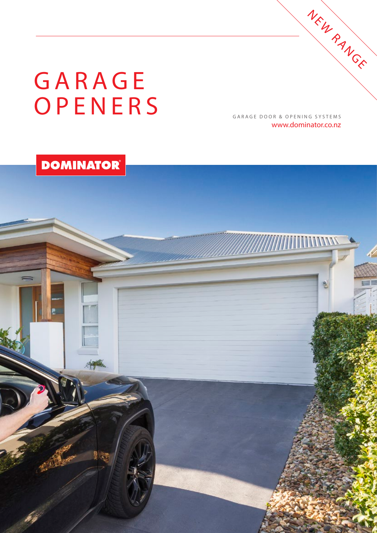# **GARAGE** OPENERS

GARAGE DOOR & OPENING SYSTEMS www.dominator.co.nz

NEW RANGE

## **DOMINATOR®**

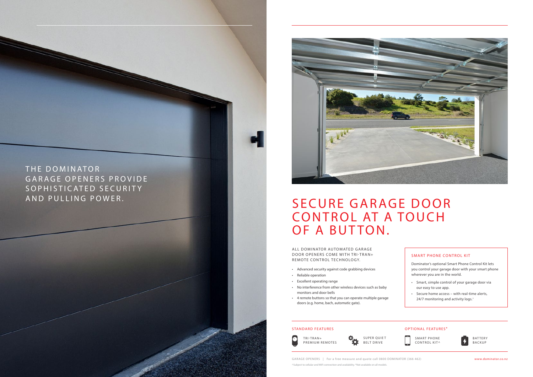THE DOMINATOR GARAGE OPENERS PROVIDE SOPHISTICATED SECURITY AND PULLING POWER.



## SECURE GARAGE DOOR **CONTROL AT A TOUCH** OF A BUTTON.

ALL DOMINATOR AUTOMATED GARAGE DOOR OPENERS COME WITH TRI-TRAN+ REMOTE CONTROL TECHNOLOGY.

GARAGE OPENERS | For a free measure and quote call 0800 DOMINATOR (366 462) **www.dominator.co.nz** ^Subject to cellular and WiFi connection and availability. \*Not available on all models.

SMART PHONE CONTROL KIT^



**BATTERY** BACKUP

 $\phi_{\mathbf{Q}}$ SUPER QUIET BELT DRIVE

- Smart, simple control of your garage door via our easy to use app.
- Secure home access with real-time alerts, 24/7 monitoring and activity logs.<sup>^</sup>





## SMART PHONE CONTROL KIT

Dominator's optional Smart Phone Control Kit lets you control your garage door with your smart phone wherever you are in the world.

- Advanced security against code grabbing devices
- Reliable operation
- Excellent operating range
- No interference from other wireless devices such as baby monitors and door bells
- 4 remote buttons so that you can operate multiple garage doors (e.g. home, bach, automatic gate).

### STANDARD FEATURES **STANDARD FEATURES OPTIONAL FEATURES**<sup>\*</sup>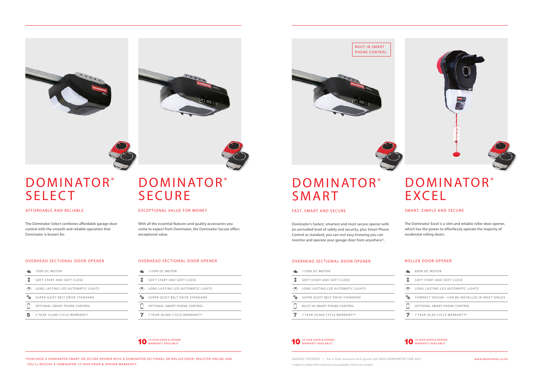



# **SELECT**

|   | 1100N DC MOTOR                      |  |  |  |
|---|-------------------------------------|--|--|--|
| Ť | SOFT START AND SOFT CLOSE           |  |  |  |
|   | LONG LASTING LED AUTOMATIC LIGHTS   |  |  |  |
|   | SUPER QUIET BELT DRIVE STANDARD     |  |  |  |
|   | <b>BUILT-IN SMART PHONE CONTROL</b> |  |  |  |
|   | 7 YEAR 20,000 CYCLE WARRANTY*       |  |  |  |
|   |                                     |  |  |  |

The Dominator Select combines affordable garage door control with the smooth and reliable operation that Dominator is known for.

The Dominator Excel is a slim and reliable roller door opener, which has the power to effortlessly operate the majority of residential rolling doors.

With all the essential features and quality accessories you come to expect from Dominator, the Dominator Secure offers exceptional value.

- ÷. 1100N DC MOTOR
- SOFT START AND SOFT CLOSE
- **LONG LASTING LED AUTOMATIC LIGHTS**
- **SUPER QUIET BELT DRIVE STANDARD**
- $\Box$ OPTIONAL SMART PHONE CONTROL
- 7 YEAR 20,000 CYCLE WARRANTY\*

# DOMINATOR® DOMINATOR® **SECURE**

### EXCEPTIONAL VALUE FOR MONEY

## **DOMINATOR®** EXCEL

- 700N DC MOTOR б'n.
- $\ddagger$ SOFT START AND SOFT CLOSE
- **LONG LASTING LED AUTOMATIC LIGHTS**
- $\phi_{\rm th}$ SUPER QUIET BELT DRIVE STANDARD
- $\Box$ OPTIONAL SMART PHONE CONTROL
- 5 YEAR 10,000 CYCLE WARRANTY

^Subject to cellular WIFI connection and availability. Phone not included. GARAGE OPENERS | For a free measure and quote call 0800 DOMINATOR (366 462) www.dominator.co.nz

| <b>600N DC MOTOR</b>                             |
|--------------------------------------------------|
| SOFT START AND SOFT CLOSE                        |
| LONG LASTING LED AUTOMATIC LIGHTS                |
| COMPACT DESIGN - CAN BE INSTALLED IN MOST SPACES |
| OPTIONAL SMART PHONE CONTROL                     |
| 7 YEAR 20.00 CYCLE WARRANTY*                     |

# DOMINATOR<sup>®</sup> SMART

\*PURCHASE A DOMINATOR SMART OR SECURE OPENER WITH A DOMINATOR SECTIONAL OR ROLLER DOOR, REGISTER ONLINE AND YOU'LL RECEIVE A DOMINATOR 10 YEAR DOOR & OPENER WARRANTY.

#### AFFORDABLE AND RELIABLE

### SMART, SIMPLE AND SECURE







#### OVERHEAD SECTIONAL DOOR OPENER OVERHEAD SECTIONAL DOOR OPENER ROLLER DOOR OPENER OVERHEAD SECTIONAL DOOR OPENER

Dominator's fastest, smartest and most secure opener with an unrivalled level of safety and security, plus Smart Phone Control as standard, you can rest easy knowing you can monitor and operate your garage door from anywhere^.

#### FAST, SMART AND SECURE









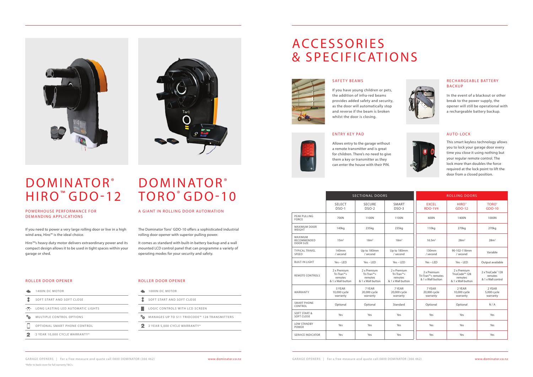1400N DC MOTOR

 $\blacksquare$  $\hat{1}$ 

#### **LONG LASTING LED AUTOMATIC LIGHTS**  $\Phi_{\underline{\nu}\underline{\nu}}$ MULTIPLE CONTROL OPTIONS

 $\Box$ OPTIONAL SMART PHONE CONTROL

SOFT START AND SOFT CLOSE

- 
- $2<sup>1</sup>$ 2 YEAR 10,000 CYCLE WARRANTY\*



### POWERHOUSE PERFORMANCE FOR DEMANDING APPLICATIONS

## ACCESSORIES & SPECIFICATIONS

If you need to power a very large rolling door or live in a high wind area, Hiro™ is the ideal choice.

Hiro™'s heavy duty motor delivers extraordinary power and its compact design allows it to be used in tight spaces within your garage or shed.



The Dominator Toro® GDO-10 offers a sophisticated industrial rolling door opener with superior pulling power.

|                                              | <b>SECTIONAL DOORS</b>                                    |                                                           |                                                           | <b>ROLLING DOORS</b>                                   |                                                                          |                                                    |
|----------------------------------------------|-----------------------------------------------------------|-----------------------------------------------------------|-----------------------------------------------------------|--------------------------------------------------------|--------------------------------------------------------------------------|----------------------------------------------------|
|                                              | <b>SELECT</b><br>$DSO-1$                                  | <b>SECURE</b><br>$DSO-2$                                  | SMART<br>$DSO-3$                                          | <b>EXCEL</b><br><b>RDO-1V4</b>                         | HIRO <sup>"</sup><br>GDO-12                                              | <b>TORO</b> <sup>*</sup><br>GDO-10                 |
| <b>PEAK PULLING</b><br><b>FORCE</b>          | 700N                                                      | 1100N                                                     | 1100N                                                     | 600N                                                   | 1400N                                                                    | 1000N                                              |
| <b>MAXIMUM DOOR</b><br>WEIGHT                | 140 <sub>kg</sub>                                         | 235kg                                                     | 235kg                                                     | 110 <sub>kg</sub>                                      | 270kg                                                                    | 270kg                                              |
| MAXIMUM<br>RECOMMENDED<br><b>DOOR SIZE</b>   | 15m <sup>2</sup>                                          | 18m <sup>2</sup>                                          | 18m <sup>2</sup>                                          | 16.5m <sup>2</sup>                                     | 28m <sup>2</sup>                                                         | 28m <sup>2</sup>                                   |
| <b>TYPICAL TRAVEL</b><br>SPEED               | 140mm<br>/ second                                         | Up to 180mm<br>/ second                                   | Up to 180mm<br>/ second                                   | 130mm<br>/ second                                      | 90-102-118mm<br>/ second                                                 | Variable                                           |
| <b>BUILT-IN LIGHT</b>                        | $Yes - LED$                                               | $Yes - LED$                                               | $Yes - LED$                                               | $Yes - LED$                                            | $Yes - LED$                                                              | Output available                                   |
| <b>REMOTE CONTROLS</b>                       | 2 x Premium<br>Tri-Tran™+<br>remotes<br>& 1 x Wall button | 2 x Premium<br>Tri-Tran™+<br>remotes<br>& 1 x Wall button | 2 x Premium<br>Tri-Tran™+<br>remotes<br>& 1 x Wall button | 2 x Premium<br>Tri-Tran™+ remotes<br>& 1 x Wall button | 2 x Premium<br>TrioCode <sup>™</sup> 128<br>remotes<br>& 1 x Wall button | 2 x TrioCode" 128<br>remotes<br>& 1 x Wall control |
| WARRANTY                                     | 5 YEAR<br>10,000 cycle<br>warranty                        | 7 YEAR<br>20,000 cycle<br>warranty                        | 7 YEAR<br>20,000 cycle<br>warranty                        | 7 YEAR<br>20,000 cycle<br>warranty                     | 2 YEAR<br>10,000 cycle<br>warranty                                       | 2 YEAR<br>5,000 cycle<br>warranty                  |
| <b>SMART PHONE</b><br>CONTROL                | Optional                                                  | Optional                                                  | Standard                                                  | Optional                                               | Optional                                                                 | N/A                                                |
| <b>SOFT START &amp;</b><br><b>SOFT CLOSE</b> | Yes                                                       | Yes                                                       | Yes                                                       | Yes                                                    | Yes                                                                      | Yes                                                |
| <b>LOW STANDBY</b><br><b>POWER</b>           | Yes                                                       | Yes                                                       | Yes                                                       | Yes                                                    | Yes                                                                      | Yes                                                |
| <b>SERVICE INDICATOR</b>                     | Yes                                                       | Yes                                                       | Yes                                                       | Yes                                                    | Yes                                                                      | Yes                                                |



# DOMINATOR® DOMINATOR®

# HIRO™ GDO-12 TORO® GDO-10

ROLLER DOOR OPENER

It comes as standard with built-in battery backup and a wall mounted LCD control panel that can programme a variety of operating modes for your security and safety.

## A GIANT IN ROLLING DOOR AUTOMATION

### ROLLER DOOR OPENER

- 1000N DC MOTOR
- SOFT START AND SOFT CLOSE
- LOGIC CONTROLS WITH LCD SCREEN
- **<sup>\$</sup>25:** MANAGES UP TO 511 TRIOCODE™ 128 TRANSMITTERS
- 2 2 YEAR 5,000 CYCLE WARRANTY\*

SAFETY BEAMS



If you have young children or pets, the addition of infra-red beams provides added safety and security, as the door will automatically stop and reverse if the beam is broken whilst the door is closing.



In the event of a blackout or other break to the power supply, the opener will still be operational with a rechargeable battery backup.



#### ENTRY KEY PAD



Allows entry to the garage without a remote transmitter and is great for children. There's no need to give them a key or transmitter as they can enter the house with their PIN.

### AUTO-LOCK

This smart keyless technology allows you to lock your garage door every time you close it using nothing but your regular remote control. The lock more than doubles the force required at the lock point to lift the door from a closed position.